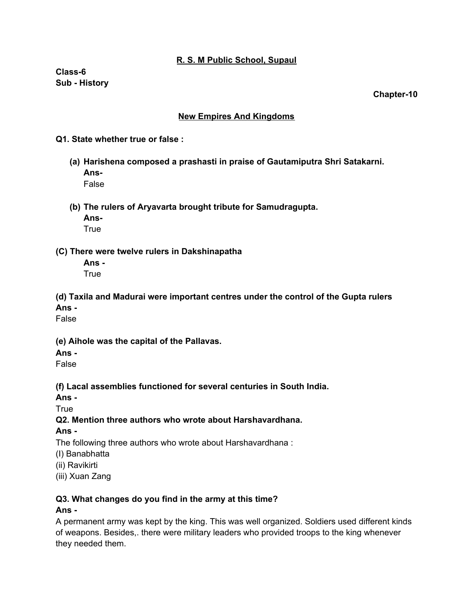#### **R. S. M Public School, Supaul**

**Class-6 Sub - History**

**Chapter-10**

#### **New Empires And Kingdoms**

#### **Q1. State whether true or false :**

**(a) Harishena composed a prashasti in praise of Gautamiputra Shri Satakarni. Ans-**

False

**(b) The rulers of Aryavarta brought tribute for Samudragupta.**

**Ans-**

**True** 

#### **(C) There were twelve rulers in Dakshinapatha**

**Ans -** True

**(d) Taxila and Madurai were important centres under the control of the Gupta rulers Ans -**

False

**(e) Aihole was the capital of the Pallavas.**

**Ans -**

False

**(f) Lacal assemblies functioned for several centuries in South India.**

**Ans -**

**True** 

### **Q2. Mention three authors who wrote about Harshavardhana.**

#### **Ans -**

The following three authors who wrote about Harshavardhana :

(I) Banabhatta

(ii) Ravikirti

(iii) Xuan Zang

### **Q3. What changes do you find in the army at this time?**

### **Ans -**

A permanent army was kept by the king. This was well organized. Soldiers used different kinds of weapons. Besides,. there were military leaders who provided troops to the king whenever they needed them.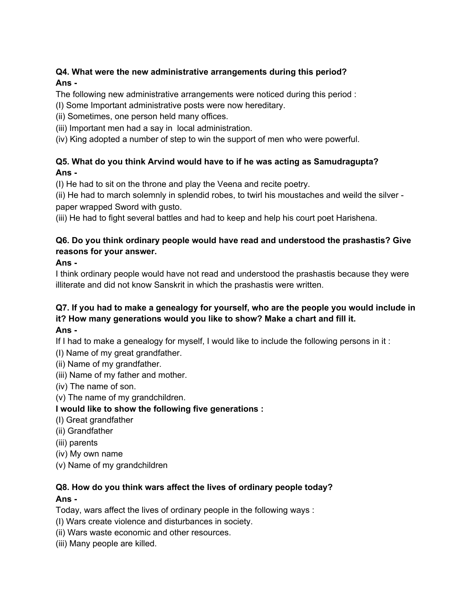## **Q4. What were the new administrative arrangements during this period? Ans -**

The following new administrative arrangements were noticed during this period :

(I) Some Important administrative posts were now hereditary.

(ii) Sometimes, one person held many offices.

(iii) Important men had a say in local administration.

(iv) King adopted a number of step to win the support of men who were powerful.

## **Q5. What do you think Arvind would have to if he was acting as Samudragupta? Ans -**

(I) He had to sit on the throne and play the Veena and recite poetry.

(ii) He had to march solemnly in splendid robes, to twirl his moustaches and weild the silver paper wrapped Sword with gusto.

(iii) He had to fight several battles and had to keep and help his court poet Harishena.

## **Q6. Do you think ordinary people would have read and understood the prashastis? Give reasons for your answer.**

## **Ans -**

I think ordinary people would have not read and understood the prashastis because they were illiterate and did not know Sanskrit in which the prashastis were written.

# **Q7. If you had to make a genealogy for yourself, who are the people you would include in it? How many generations would you like to show? Make a chart and fill it.**

### **Ans -**

If I had to make a genealogy for myself, I would like to include the following persons in it :

- (I) Name of my great grandfather.
- (ii) Name of my grandfather.
- (iii) Name of my father and mother.
- (iv) The name of son.
- (v) The name of my grandchildren.

## **I would like to show the following five generations :**

- (I) Great grandfather
- (ii) Grandfather
- (iii) parents
- (iv) My own name
- (v) Name of my grandchildren

#### **Q8. How do you think wars affect the lives of ordinary people today? Ans -**

## Today, wars affect the lives of ordinary people in the following ways :

- (I) Wars create violence and disturbances in society.
- (ii) Wars waste economic and other resources.
- (iii) Many people are killed.